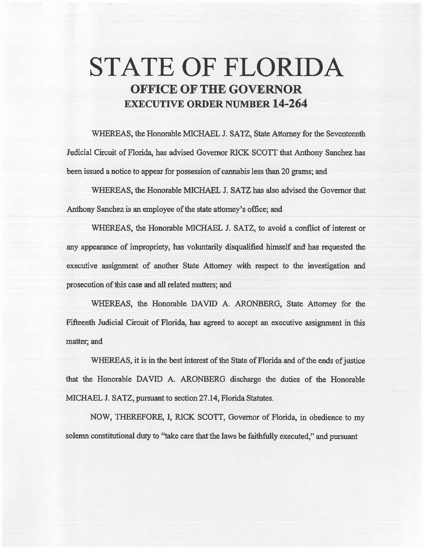# **STATE OF FLORIDA OFFICE OF THE GOVERNOR EXECUTIVE ORDER NUMBER 14-264**

WHEREAS, the Honorable MICHAEL J. SATZ, State Attorney for the Seventeenth Judicial Circuit of Florida, has advised Governor RICK SCOTI that Anthony Sanchez has been issued a notice to appear for possession of cannabis less than 20 grams; and

WHEREAS, the Honorable MICHAEL J. SATZ has also advised the Governor that Anthony Sanchez is an employee of the state attorney's office; and

WHEREAS, the Honorable MICHAEL J. SATZ, to avoid a conflict of interest or any appearance of impropriety, has voluntarily disqualified himself and has requested the executive assignment of another State Attorney with respect to the investigation and prosecution of this case and all related matters; and

WHEREAS, the Honorable DAVID A. ARONBERG, State Attorney for the Fifteenth Judicial Circuit of Florida, has agreed to accept an executive assignment in this matter; and

WHEREAS, it is in the best interest of the State of Florida and of the ends of justice that the Honorable DAVID A. ARONBERG discharge the duties of the Honorable MICHAEL J. SATZ, pursuant to section 27 .14, Florida Statutes.

NOW, THEREFORE, I, RICK SCOTT, Governor of Florida, in obedience to my solemn constitutional duty to "take care that the laws be faithfully executed," and pursuant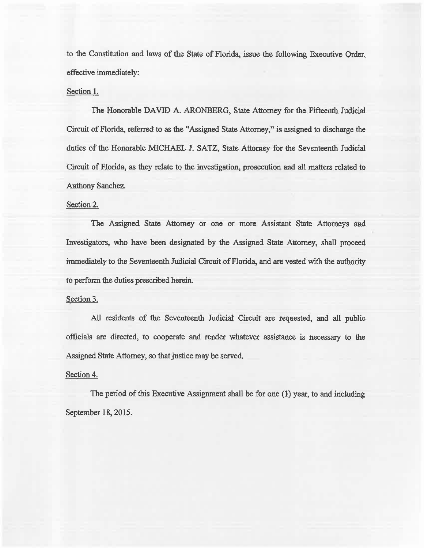to the Constitution and laws of the State of Florida, issue the following Executive Order, effective immediately:

## Section 1.

The Honorable DAVJD A. ARONBERG, State Attorney for the Fifteenth Judicial Circuit of Florida, referred to as the "Assigned State Attorney," is assigned to discharge the duties of the Honorable MICHAEL J. SATZ, State Attorney for the Seventeenth Judicial Circuit of Florida, as they relate to the investigation, prosecution and all matters related to Anthony Sanchez.

## Section 2.

The Assigned State Attorney or one or more Assistant State Attorneys and Investigators, who have been designated by the Assigned State Attorney, shall proceed immediately to the Seventeenth Judicial Circuit of Florida, and are vested with the authority to perform the duties prescribed herein.

### Section 3.

All residents of the Seventeenth Judicial Circuit are requested, and all public officials are directed, to cooperate and render whatever assistance is necessary to the Assigned State Attorney, so that justice may be served.

#### Section 4.

The period of this Executive Assignment shall be for one (1) year, to and including September 18, 2015.